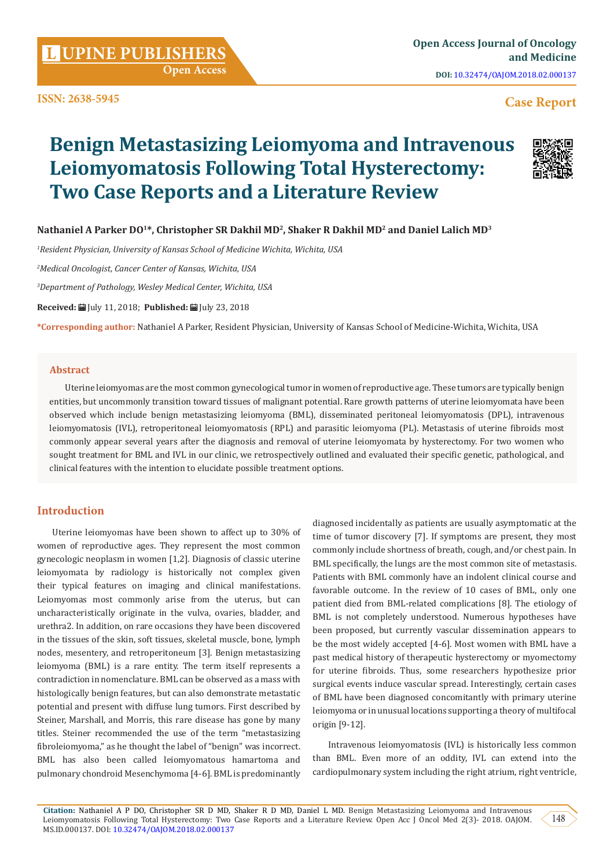**Citation:** Nathaniel A P DO, Christopher SR D MD, Shaker R D MD, Daniel L MD. Benign Metastasizing Leiomyoma and Intravenous Leiomyomatosis Following Total Hysterectomy: Two Case Reports and a Literature Review. Open Acc J Oncol Med 2(3)- 2018. OAJOM. MS.ID.000137. DOI: [10.32474/OAJOM.2018.02.000137](http://dx.doi.org/10.32474/OAJOM.2018.02.000137)

**ISSN: 2638-5945**

# Nathaniel A Parker DO<sup>1\*</sup>, Christopher SR Dakhil MD<sup>2</sup>, Shaker R Dakhil MD<sup>2</sup> and Daniel Lalich MD<sup>3</sup>

**Two Case Reports and a Literature Review**

**Leiomyomatosis Following Total Hysterectomy:** 

**Benign Metastasizing Leiomyoma and Intravenous** 

*1 Resident Physician, University of Kansas School of Medicine Wichita, Wichita, USA*

 **Open Access**

*2 Medical Oncologist, Cancer Center of Kansas, Wichita, USA*

*3 Department of Pathology, Wesley Medical Center, Wichita, USA*

**Received:** | July 11, 2018; Published: | July 23, 2018

**\*Corresponding author:** Nathaniel A Parker, Resident Physician, University of Kansas School of Medicine-Wichita, Wichita, USA

## **Abstract**

Uterine leiomyomas are the most common gynecological tumor in women of reproductive age. These tumors are typically benign entities, but uncommonly transition toward tissues of malignant potential. Rare growth patterns of uterine leiomyomata have been observed which include benign metastasizing leiomyoma (BML), disseminated peritoneal leiomyomatosis (DPL), intravenous leiomyomatosis (IVL), retroperitoneal leiomyomatosis (RPL) and parasitic leiomyoma (PL). Metastasis of uterine fibroids most commonly appear several years after the diagnosis and removal of uterine leiomyomata by hysterectomy. For two women who sought treatment for BML and IVL in our clinic, we retrospectively outlined and evaluated their specific genetic, pathological, and clinical features with the intention to elucidate possible treatment options.

# **Introduction**

Uterine leiomyomas have been shown to affect up to 30% of women of reproductive ages. They represent the most common gynecologic neoplasm in women [1,2]. Diagnosis of classic uterine leiomyomata by radiology is historically not complex given their typical features on imaging and clinical manifestations. Leiomyomas most commonly arise from the uterus, but can uncharacteristically originate in the vulva, ovaries, bladder, and urethra2. In addition, on rare occasions they have been discovered in the tissues of the skin, soft tissues, skeletal muscle, bone, lymph nodes, mesentery, and retroperitoneum [3]. Benign metastasizing leiomyoma (BML) is a rare entity. The term itself represents a contradiction in nomenclature. BML can be observed as a mass with histologically benign features, but can also demonstrate metastatic potential and present with diffuse lung tumors. First described by Steiner, Marshall, and Morris, this rare disease has gone by many titles. Steiner recommended the use of the term "metastasizing fibroleiomyoma," as he thought the label of "benign" was incorrect. BML has also been called leiomyomatous hamartoma and pulmonary chondroid Mesenchymoma [4-6]. BML is predominantly

diagnosed incidentally as patients are usually asymptomatic at the time of tumor discovery [7]. If symptoms are present, they most commonly include shortness of breath, cough, and/or chest pain. In BML specifically, the lungs are the most common site of metastasis. Patients with BML commonly have an indolent clinical course and favorable outcome. In the review of 10 cases of BML, only one patient died from BML-related complications [8]. The etiology of BML is not completely understood. Numerous hypotheses have been proposed, but currently vascular dissemination appears to be the most widely accepted [4-6]. Most women with BML have a past medical history of therapeutic hysterectomy or myomectomy for uterine fibroids. Thus, some researchers hypothesize prior surgical events induce vascular spread. Interestingly, certain cases of BML have been diagnosed concomitantly with primary uterine leiomyoma or in unusual locations supporting a theory of multifocal origin [9-12].

Intravenous leiomyomatosis (IVL) is historically less common than BML. Even more of an oddity, IVL can extend into the cardiopulmonary system including the right atrium, right ventricle,

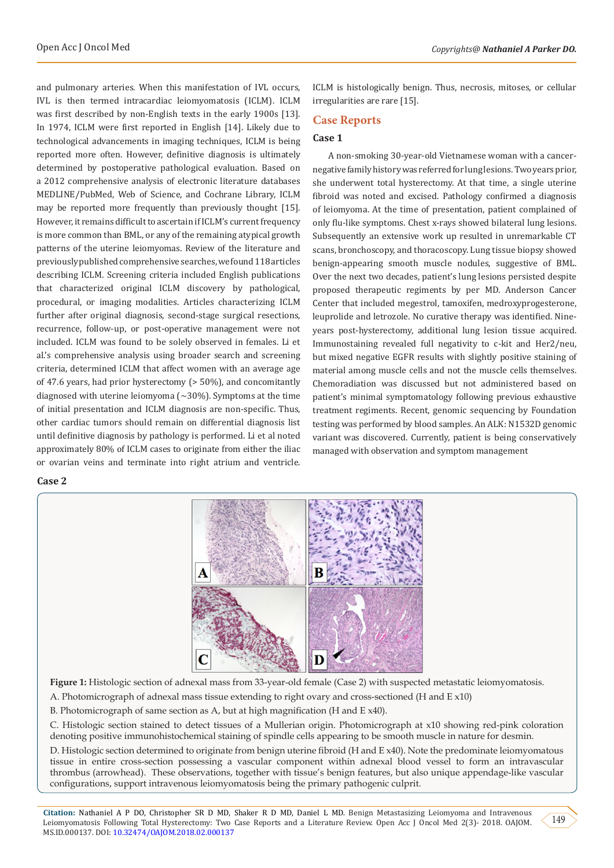and pulmonary arteries. When this manifestation of IVL occurs, IVL is then termed intracardiac leiomyomatosis (ICLM). ICLM was first described by non-English texts in the early 1900s [13]. In 1974, ICLM were first reported in English [14]. Likely due to technological advancements in imaging techniques, ICLM is being reported more often. However, definitive diagnosis is ultimately determined by postoperative pathological evaluation. Based on a 2012 comprehensive analysis of electronic literature databases MEDLINE/PubMed, Web of Science, and Cochrane Library, ICLM may be reported more frequently than previously thought [15]. However, it remains difficult to ascertain if ICLM's current frequency is more common than BML, or any of the remaining atypical growth patterns of the uterine leiomyomas. Review of the literature and previously published comprehensive searches, we found 118 articles describing ICLM. Screening criteria included English publications that characterized original ICLM discovery by pathological, procedural, or imaging modalities. Articles characterizing ICLM further after original diagnosis, second-stage surgical resections, recurrence, follow-up, or post-operative management were not included. ICLM was found to be solely observed in females. Li et al.'s comprehensive analysis using broader search and screening criteria, determined ICLM that affect women with an average age of 47.6 years, had prior hysterectomy (> 50%), and concomitantly diagnosed with uterine leiomyoma  $({\sim}30\%)$ . Symptoms at the time of initial presentation and ICLM diagnosis are non-specific. Thus, other cardiac tumors should remain on differential diagnosis list until definitive diagnosis by pathology is performed. Li et al noted approximately 80% of ICLM cases to originate from either the iliac or ovarian veins and terminate into right atrium and ventricle.

## **Case 2**

ICLM is histologically benign. Thus, necrosis, mitoses, or cellular irregularities are rare [15].

## **Case Reports**

# **Case 1**

A non-smoking 30-year-old Vietnamese woman with a cancernegative family history was referred for lung lesions. Two years prior, she underwent total hysterectomy. At that time, a single uterine fibroid was noted and excised. Pathology confirmed a diagnosis of leiomyoma. At the time of presentation, patient complained of only flu-like symptoms. Chest x-rays showed bilateral lung lesions. Subsequently an extensive work up resulted in unremarkable CT scans, bronchoscopy, and thoracoscopy. Lung tissue biopsy showed benign-appearing smooth muscle nodules, suggestive of BML. Over the next two decades, patient's lung lesions persisted despite proposed therapeutic regiments by per MD. Anderson Cancer Center that included megestrol, tamoxifen, medroxyprogesterone, leuprolide and letrozole. No curative therapy was identified. Nineyears post-hysterectomy, additional lung lesion tissue acquired. Immunostaining revealed full negativity to c-kit and Her2/neu, but mixed negative EGFR results with slightly positive staining of material among muscle cells and not the muscle cells themselves. Chemoradiation was discussed but not administered based on patient's minimal symptomatology following previous exhaustive treatment regiments. Recent, genomic sequencing by Foundation testing was performed by blood samples. An ALK: N1532D genomic variant was discovered. Currently, patient is being conservatively managed with observation and symptom management



**Figure 1:** Histologic section of adnexal mass from 33-year-old female (Case 2) with suspected metastatic leiomyomatosis.

A. Photomicrograph of adnexal mass tissue extending to right ovary and cross-sectioned (H and E x10)

B. Photomicrograph of same section as A, but at high magnification (H and E x40).

C. Histologic section stained to detect tissues of a Mullerian origin. Photomicrograph at x10 showing red-pink coloration denoting positive immunohistochemical staining of spindle cells appearing to be smooth muscle in nature for desmin.

D. Histologic section determined to originate from benign uterine fibroid (H and E x40). Note the predominate leiomyomatous tissue in entire cross-section possessing a vascular component within adnexal blood vessel to form an intravascular thrombus (arrowhead). These observations, together with tissue's benign features, but also unique appendage-like vascular configurations, support intravenous leiomyomatosis being the primary pathogenic culprit.

**Citation:** Nathaniel A P DO, Christopher SR D MD, Shaker R D MD, Daniel L MD. Benign Metastasizing Leiomyoma and Intravenous Leiomyomatosis Following Total Hysterectomy: Two Case Reports and a Literature Review. Open Acc J Oncol Med 2(3)- 2018. OAJOM. MS.ID.000137. DOI: [10.32474/OAJOM.2018.02.000137](http://dx.doi.org/10.32474/OAJOM.2018.02.000137)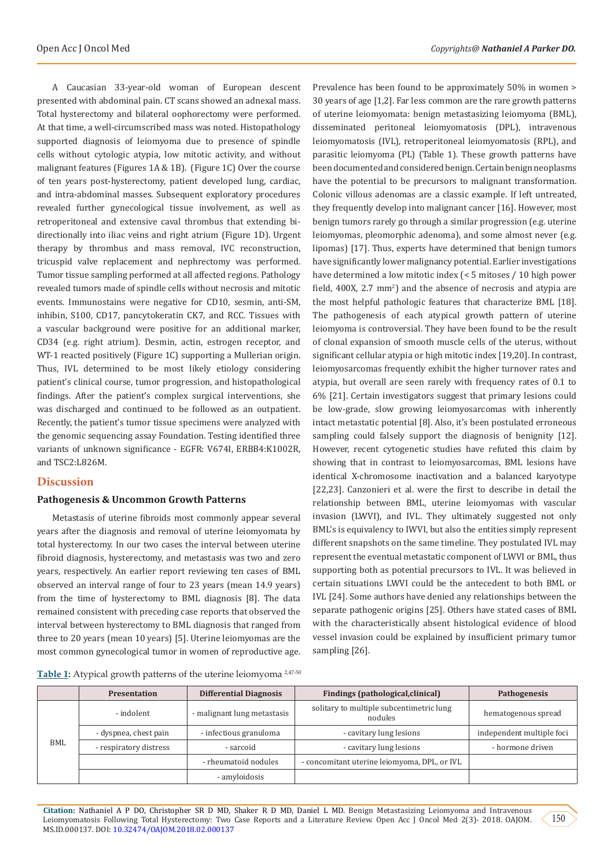A Caucasian 33-year-old woman of European descent presented with abdominal pain. CT scans showed an adnexal mass. Total hysterectomy and bilateral oophorectomy were performed. At that time, a well-circumscribed mass was noted. Histopathology supported diagnosis of leiomyoma due to presence of spindle cells without cytologic atypia, low mitotic activity, and without malignant features (Figures 1A & 1B). (Figure 1C) Over the course of ten years post-hysterectomy, patient developed lung, cardiac, and intra-abdominal masses. Subsequent exploratory procedures revealed further gynecological tissue involvement, as well as retroperitoneal and extensive caval thrombus that extending bidirectionally into iliac veins and right atrium (Figure 1D). Urgent therapy by thrombus and mass removal, IVC reconstruction, tricuspid valve replacement and nephrectomy was performed. Tumor tissue sampling performed at all affected regions. Pathology revealed tumors made of spindle cells without necrosis and mitotic events. Immunostains were negative for CD10, sesmin, anti-SM, inhibin, S100, CD17, pancytokeratin CK7, and RCC. Tissues with a vascular background were positive for an additional marker, CD34 (e.g. right atrium). Desmin, actin, estrogen receptor, and WT-1 reacted positively (Figure 1C) supporting a Mullerian origin. Thus, IVL determined to be most likely etiology considering patient's clinical course, tumor progression, and histopathological findings. After the patient's complex surgical interventions, she was discharged and continued to be followed as an outpatient. Recently, the patient's tumor tissue specimens were analyzed with the genomic sequencing assay Foundation. Testing identified three variants of unknown significance - EGFR: V674I, ERBB4:K1002R, and TSC2:L826M.

# **Discussion**

## **Pathogenesis & Uncommon Growth Patterns**

Metastasis of uterine fibroids most commonly appear several years after the diagnosis and removal of uterine leiomyomata by total hysterectomy. In our two cases the interval between uterine fibroid diagnosis, hysterectomy, and metastasis was two and zero years, respectively. An earlier report reviewing ten cases of BML observed an interval range of four to 23 years (mean 14.9 years) from the time of hysterectomy to BML diagnosis [8]. The data remained consistent with preceding case reports that observed the interval between hysterectomy to BML diagnosis that ranged from three to 20 years (mean 10 years) [5]. Uterine leiomyomas are the most common gynecological tumor in women of reproductive age.

Prevalence has been found to be approximately 50% in women > 30 years of age [1,2]. Far less common are the rare growth patterns of uterine leiomyomata: benign metastasizing leiomyoma (BML), disseminated peritoneal leiomyomatosis (DPL), intravenous leiomyomatosis (IVL), retroperitoneal leiomyomatosis (RPL), and parasitic leiomyoma (PL) (Table 1). These growth patterns have been documented and considered benign. Certain benign neoplasms have the potential to be precursors to malignant transformation. Colonic villous adenomas are a classic example. If left untreated, they frequently develop into malignant cancer [16]. However, most benign tumors rarely go through a similar progression (e.g. uterine leiomyomas, pleomorphic adenoma), and some almost never (e.g. lipomas) [17]. Thus, experts have determined that benign tumors have significantly lower malignancy potential. Earlier investigations have determined a low mitotic index (< 5 mitoses / 10 high power field,  $400X$ ,  $2.7 \text{ mm}^2$ ) and the absence of necrosis and atypia are the most helpful pathologic features that characterize BML [18]. The pathogenesis of each atypical growth pattern of uterine leiomyoma is controversial. They have been found to be the result of clonal expansion of smooth muscle cells of the uterus, without significant cellular atypia or high mitotic index [19,20]. In contrast, leiomyosarcomas frequently exhibit the higher turnover rates and atypia, but overall are seen rarely with frequency rates of 0.1 to 6% [21]. Certain investigators suggest that primary lesions could be low-grade, slow growing leiomyosarcomas with inherently intact metastatic potential [8]. Also, it's been postulated erroneous sampling could falsely support the diagnosis of benignity [12]. However, recent cytogenetic studies have refuted this claim by showing that in contrast to leiomyosarcomas, BML lesions have identical X-chromosome inactivation and a balanced karyotype [22,23]. Canzonieri et al. were the first to describe in detail the relationship between BML, uterine leiomyomas with vascular invasion (LWVI), and IVL. They ultimately suggested not only BML's is equivalency to IWVI, but also the entities simply represent different snapshots on the same timeline. They postulated IVL may represent the eventual metastatic component of LWVI or BML, thus supporting both as potential precursors to IVL. It was believed in certain situations LWVI could be the antecedent to both BML or IVL [24]. Some authors have denied any relationships between the separate pathogenic origins [25]. Others have stated cases of BML with the characteristically absent histological evidence of blood vessel invasion could be explained by insufficient primary tumor sampling [26].

| Table 1: Atypical growth patterns of the uterine leiomyoma <sup>2,47-50</sup> |  |  |
|-------------------------------------------------------------------------------|--|--|
|                                                                               |  |  |

|     | <b>Presentation</b>    | <b>Differential Diagnosis</b> | Findings (pathological, clinical)                   | Pathogenesis              |
|-----|------------------------|-------------------------------|-----------------------------------------------------|---------------------------|
| BML | - indolent             | - malignant lung metastasis   | solitary to multiple subcentimetric lung<br>nodules | hematogenous spread       |
|     | - dyspnea, chest pain  | - infectious granuloma        | - cavitary lung lesions                             | independent multiple foci |
|     | - respiratory distress | - sarcoid                     | - cavitary lung lesions                             | - hormone driven          |
|     |                        | - rheumatoid nodules          | - concomitant uterine leiomyoma, DPL, or IVL        |                           |
|     |                        | - amyloidosis                 |                                                     |                           |

**Citation:** Nathaniel A P DO, Christopher SR D MD, Shaker R D MD, Daniel L MD. Benign Metastasizing Leiomyoma and Intravenous Leiomyomatosis Following Total Hysterectomy: Two Case Reports and a Literature Review. Open Acc J Oncol Med 2(3)- 2018. OAJOM. MS.ID.000137. DOI: [10.32474/OAJOM.2018.02.000137](http://dx.doi.org/10.32474/OAJOM.2018.02.000137)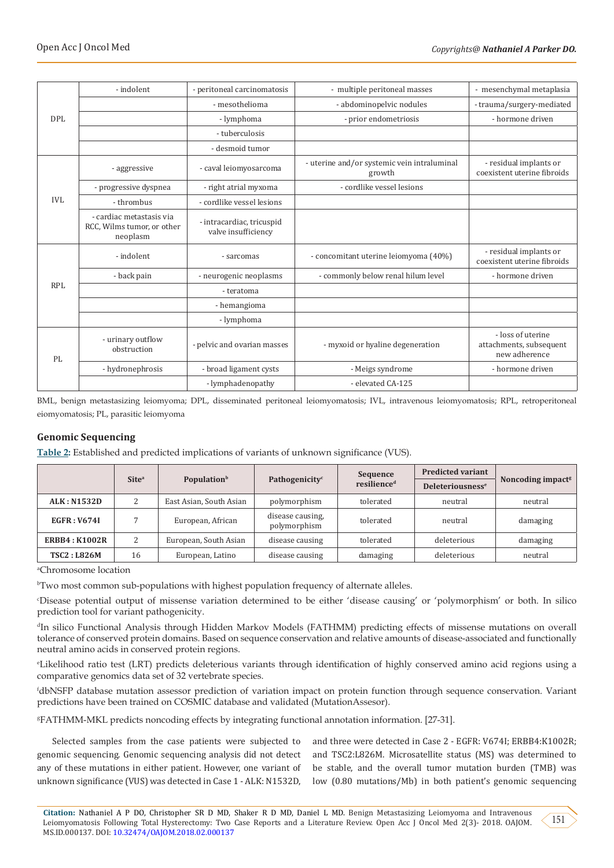| <b>DPL</b> | - indolent                                                         | - peritoneal carcinomatosis                      | - multiple peritoneal masses                          | - mesenchymal metaplasia                                      |
|------------|--------------------------------------------------------------------|--------------------------------------------------|-------------------------------------------------------|---------------------------------------------------------------|
|            |                                                                    | - mesothelioma                                   | - abdominopelvic nodules                              | - trauma/surgery-mediated                                     |
|            |                                                                    | - lymphoma                                       | - prior endometriosis                                 | - hormone driven                                              |
|            |                                                                    | - tuberculosis                                   |                                                       |                                                               |
|            |                                                                    | - desmoid tumor                                  |                                                       |                                                               |
| IVI.       | - aggressive                                                       | - caval leiomyosarcoma                           | - uterine and/or systemic vein intraluminal<br>growth | - residual implants or<br>coexistent uterine fibroids         |
|            | - progressive dyspnea                                              | - right atrial myxoma                            | - cordlike vessel lesions                             |                                                               |
|            | - thrombus                                                         | - cordlike vessel lesions                        |                                                       |                                                               |
|            | - cardiac metastasis via<br>RCC, Wilms tumor, or other<br>neoplasm | - intracardiac, tricuspid<br>valve insufficiency |                                                       |                                                               |
| RPL        | - indolent                                                         | - sarcomas                                       | - concomitant uterine leiomyoma (40%)                 | - residual implants or<br>coexistent uterine fibroids         |
|            | - back pain                                                        | - neurogenic neoplasms                           | - commonly below renal hilum level                    | - hormone driven                                              |
|            |                                                                    | - teratoma                                       |                                                       |                                                               |
|            |                                                                    | - hemangioma                                     |                                                       |                                                               |
|            |                                                                    | - lymphoma                                       |                                                       |                                                               |
| PI.        | - urinary outflow<br>obstruction                                   | - pelvic and ovarian masses                      | - myxoid or hyaline degeneration                      | - loss of uterine<br>attachments, subsequent<br>new adherence |
|            | - hydronephrosis                                                   | - broad ligament cysts                           | - Meigs syndrome                                      | - hormone driven                                              |
|            |                                                                    | - lymphadenopathy                                | - elevated CA-125                                     |                                                               |

BML, benign metastasizing leiomyoma; DPL, disseminated peritoneal leiomyomatosis; IVL, intravenous leiomyomatosis; RPL, retroperitoneal eiomyomatosis; PL, parasitic leiomyoma

# **Genomic Sequencing**

**Table 2:** Established and predicted implications of variants of unknown significance (VUS).

|                       | Site <sup>a</sup> | <b>Population</b> <sup>b</sup> | Pathogenicity <sup>c</sup>       | Sequence<br>resilience <sup>d</sup> | <b>Predicted variant</b>           | Noncoding impact <sup>s</sup> |
|-----------------------|-------------------|--------------------------------|----------------------------------|-------------------------------------|------------------------------------|-------------------------------|
|                       |                   |                                |                                  |                                     | <b>Deleteriousness<sup>e</sup></b> |                               |
| <b>ALK: N1532D</b>    |                   | East Asian, South Asian        | polymorphism                     | tolerated                           | neutral                            | neutral                       |
| <b>EGFR: V674I</b>    |                   | European, African              | disease causing,<br>polymorphism | tolerated                           | neutral                            | damaging                      |
| <b>ERBB4 : K1002R</b> | C.                | European, South Asian          | disease causing                  | tolerated                           | deleterious                        | damaging                      |
| <b>TSC2: L826M</b>    | 16                | European, Latino               | disease causing                  | damaging                            | deleterious                        | neutral                       |

a Chromosome location

<sup>b</sup>Two most common sub-populations with highest population frequency of alternate alleles.

c Disease potential output of missense variation determined to be either 'disease causing' or 'polymorphism' or both. In silico prediction tool for variant pathogenicity.

<sup>d</sup>In silico Functional Analysis through Hidden Markov Models (FATHMM) predicting effects of missense mutations on overall tolerance of conserved protein domains. Based on sequence conservation and relative amounts of disease-associated and functionally neutral amino acids in conserved protein regions.

e Likelihood ratio test (LRT) predicts deleterious variants through identification of highly conserved amino acid regions using a comparative genomics data set of 32 vertebrate species.

f dbNSFP database mutation assessor prediction of variation impact on protein function through sequence conservation. Variant predictions have been trained on COSMIC database and validated (MutationAssesor).

g FATHMM-MKL predicts noncoding effects by integrating functional annotation information. [27-31].

Selected samples from the case patients were subjected to genomic sequencing. Genomic sequencing analysis did not detect any of these mutations in either patient. However, one variant of unknown significance (VUS) was detected in Case 1 - ALK: N1532D,

and three were detected in Case 2 - EGFR: V674I; ERBB4:K1002R; and TSC2:L826M. Microsatellite status (MS) was determined to be stable, and the overall tumor mutation burden (TMB) was low (0.80 mutations/Mb) in both patient's genomic sequencing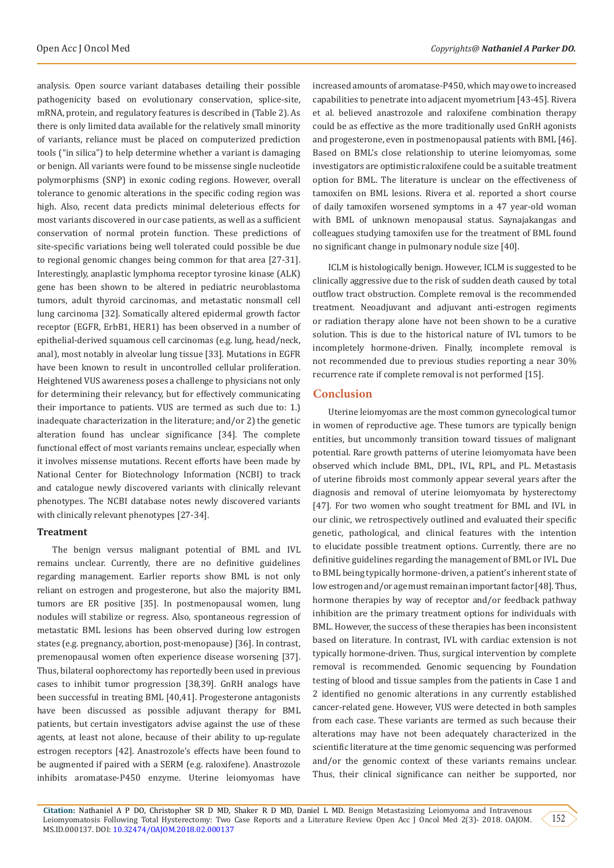analysis. Open source variant databases detailing their possible pathogenicity based on evolutionary conservation, splice-site, mRNA, protein, and regulatory features is described in (Table 2). As there is only limited data available for the relatively small minority of variants, reliance must be placed on computerized prediction tools ("in silica") to help determine whether a variant is damaging or benign. All variants were found to be missense single nucleotide polymorphisms (SNP) in exonic coding regions. However, overall tolerance to genomic alterations in the specific coding region was high. Also, recent data predicts minimal deleterious effects for most variants discovered in our case patients, as well as a sufficient conservation of normal protein function. These predictions of site-specific variations being well tolerated could possible be due to regional genomic changes being common for that area [27-31]. Interestingly, anaplastic lymphoma receptor tyrosine kinase (ALK) gene has been shown to be altered in pediatric neuroblastoma tumors, adult thyroid carcinomas, and metastatic nonsmall cell lung carcinoma [32]. Somatically altered epidermal growth factor receptor (EGFR, ErbB1, HER1) has been observed in a number of epithelial-derived squamous cell carcinomas (e.g. lung, head/neck, anal), most notably in alveolar lung tissue [33]. Mutations in EGFR have been known to result in uncontrolled cellular proliferation. Heightened VUS awareness poses a challenge to physicians not only for determining their relevancy, but for effectively communicating their importance to patients. VUS are termed as such due to: 1.) inadequate characterization in the literature; and/or 2) the genetic alteration found has unclear significance [34]. The complete functional effect of most variants remains unclear, especially when it involves missense mutations. Recent efforts have been made by National Center for Biotechnology Information (NCBI) to track and catalogue newly discovered variants with clinically relevant phenotypes. The NCBI database notes newly discovered variants with clinically relevant phenotypes [27-34].

#### **Treatment**

The benign versus malignant potential of BML and IVL remains unclear. Currently, there are no definitive guidelines regarding management. Earlier reports show BML is not only reliant on estrogen and progesterone, but also the majority BML tumors are ER positive [35]. In postmenopausal women, lung nodules will stabilize or regress. Also, spontaneous regression of metastatic BML lesions has been observed during low estrogen states (e.g. pregnancy, abortion, post-menopause) [36]. In contrast, premenopausal women often experience disease worsening [37]. Thus, bilateral oophorectomy has reportedly been used in previous cases to inhibit tumor progression [38,39]. GnRH analogs have been successful in treating BML [40,41]. Progesterone antagonists have been discussed as possible adjuvant therapy for BML patients, but certain investigators advise against the use of these agents, at least not alone, because of their ability to up-regulate estrogen receptors [42]. Anastrozole's effects have been found to be augmented if paired with a SERM (e.g. raloxifene). Anastrozole inhibits aromatase-P450 enzyme. Uterine leiomyomas have

increased amounts of aromatase-P450, which may owe to increased capabilities to penetrate into adjacent myometrium [43-45]. Rivera et al. believed anastrozole and raloxifene combination therapy could be as effective as the more traditionally used GnRH agonists and progesterone, even in postmenopausal patients with BML [46]. Based on BML's close relationship to uterine leiomyomas, some investigators are optimistic raloxifene could be a suitable treatment option for BML. The literature is unclear on the effectiveness of tamoxifen on BML lesions. Rivera et al. reported a short course of daily tamoxifen worsened symptoms in a 47 year-old woman with BML of unknown menopausal status. Saynajakangas and colleagues studying tamoxifen use for the treatment of BML found no significant change in pulmonary nodule size [40].

ICLM is histologically benign. However, ICLM is suggested to be clinically aggressive due to the risk of sudden death caused by total outflow tract obstruction. Complete removal is the recommended treatment. Neoadjuvant and adjuvant anti-estrogen regiments or radiation therapy alone have not been shown to be a curative solution. This is due to the historical nature of IVL tumors to be incompletely hormone-driven. Finally, incomplete removal is not recommended due to previous studies reporting a near 30% recurrence rate if complete removal is not performed [15].

# **Conclusion**

Uterine leiomyomas are the most common gynecological tumor in women of reproductive age. These tumors are typically benign entities, but uncommonly transition toward tissues of malignant potential. Rare growth patterns of uterine leiomyomata have been observed which include BML, DPL, IVL, RPL, and PL. Metastasis of uterine fibroids most commonly appear several years after the diagnosis and removal of uterine leiomyomata by hysterectomy [47]. For two women who sought treatment for BML and IVL in our clinic, we retrospectively outlined and evaluated their specific genetic, pathological, and clinical features with the intention to elucidate possible treatment options. Currently, there are no definitive guidelines regarding the management of BML or IVL. Due to BML being typically hormone-driven, a patient's inherent state of low estrogen and/or age must remain an important factor [48]. Thus, hormone therapies by way of receptor and/or feedback pathway inhibition are the primary treatment options for individuals with BML. However, the success of these therapies has been inconsistent based on literature. In contrast, IVL with cardiac extension is not typically hormone-driven. Thus, surgical intervention by complete removal is recommended. Genomic sequencing by Foundation testing of blood and tissue samples from the patients in Case 1 and 2 identified no genomic alterations in any currently established cancer-related gene. However, VUS were detected in both samples from each case. These variants are termed as such because their alterations may have not been adequately characterized in the scientific literature at the time genomic sequencing was performed and/or the genomic context of these variants remains unclear. Thus, their clinical significance can neither be supported, nor

**Citation:** Nathaniel A P DO, Christopher SR D MD, Shaker R D MD, Daniel L MD. Benign Metastasizing Leiomyoma and Intravenous Leiomyomatosis Following Total Hysterectomy: Two Case Reports and a Literature Review. Open Acc J Oncol Med 2(3)- 2018. OAJOM. MS.ID.000137. DOI: [10.32474/OAJOM.2018.02.000137](http://dx.doi.org/10.32474/OAJOM.2018.02.000137)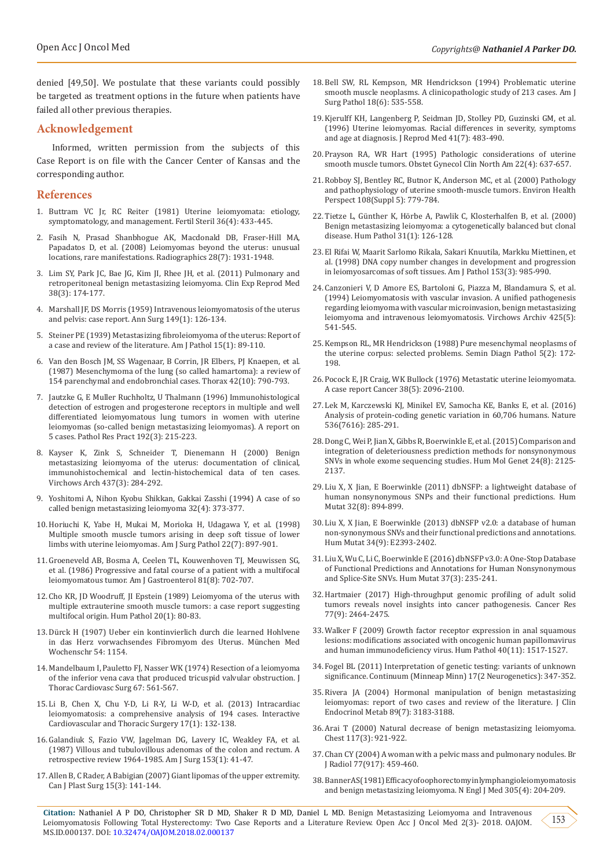denied [49,50]. We postulate that these variants could possibly be targeted as treatment options in the future when patients have failed all other previous therapies.

# **Acknowledgement**

Informed, written permission from the subjects of this Case Report is on file with the Cancer Center of Kansas and the corresponding author.

## **References**

- 1. [Buttram VC Jr, RC Reiter \(1981\) Uterine leiomyomata: etiology,](https://www.ncbi.nlm.nih.gov/pubmed/7026295) [symptomatology, and management. Fertil Steril 36\(4\): 433-445.](https://www.ncbi.nlm.nih.gov/pubmed/7026295)
- 2. [Fasih N, Prasad Shanbhogue AK, Macdonald DB, Fraser-Hill MA,](https://www.ncbi.nlm.nih.gov/pubmed/19001649) [Papadatos D, et al. \(2008\) Leiomyomas beyond the uterus: unusual](https://www.ncbi.nlm.nih.gov/pubmed/19001649) [locations, rare manifestations. Radiographics 28\(7\): 1931-1948.](https://www.ncbi.nlm.nih.gov/pubmed/19001649)
- 3. [Lim SY, Park JC, Bae JG, Kim JI, Rhee JH, et al. \(2011\) Pulmonary and](https://www.ncbi.nlm.nih.gov/pubmed/22384439/) [retroperitoneal benign metastasizing leiomyoma. Clin Exp Reprod Med](https://www.ncbi.nlm.nih.gov/pubmed/22384439/) [38\(3\): 174-177.](https://www.ncbi.nlm.nih.gov/pubmed/22384439/)
- 4. [Marshall JF, DS Morris \(1959\) Intravenous leiomyomatosis of the uterus](https://www.ncbi.nlm.nih.gov/pubmed/13617919) [and pelvis: case report. Ann Surg 149\(1\): 126-134.](https://www.ncbi.nlm.nih.gov/pubmed/13617919)
- 5. [Steiner PE \(1939\) Metastasizing fibroleiomyoma of the uterus: Report of](https://www.ncbi.nlm.nih.gov/pubmed/19970436/) [a case and review of the literature. Am J Pathol 15\(1\): 89-110.](https://www.ncbi.nlm.nih.gov/pubmed/19970436/)
- 6. Van den Bosch JM, SS Wagenaar, B Corrin, JR Elbers, PJ Knaepen, et al. (1987) Mesenchymoma of the lung (so called hamartoma): a review of 154 parenchymal and endobronchial cases. Thorax 42(10): 790-793.
- 7. [Jautzke G, E Muller Ruchholtz, U Thalmann \(1996\) Immunohistological](https://www.sciencedirect.com/science/article/pii/S034403389680224X) [detection of estrogen and progesterone receptors in multiple and well](https://www.sciencedirect.com/science/article/pii/S034403389680224X) [differentiated leiomyomatous lung tumors in women with uterine](https://www.sciencedirect.com/science/article/pii/S034403389680224X) [leiomyomas \(so-called benign metastasizing leiomyomas\). A report on](https://www.sciencedirect.com/science/article/pii/S034403389680224X) [5 cases. Pathol Res Pract 192\(3\): 215-223.](https://www.sciencedirect.com/science/article/pii/S034403389680224X)
- 8. [Kayser K, Zink S, Schneider T, Dienemann H \(2000\) Benign](https://www.ncbi.nlm.nih.gov/pubmed/11037349) [metastasizing leiomyoma of the uterus: documentation of clinical,](https://www.ncbi.nlm.nih.gov/pubmed/11037349) [immunohistochemical and lectin-histochemical data of ten cases.](https://www.ncbi.nlm.nih.gov/pubmed/11037349) [Virchows Arch 437\(3\): 284-292.](https://www.ncbi.nlm.nih.gov/pubmed/11037349)
- 9. [Yoshitomi A, Nihon Kyobu Shikkan, Gakkai Zasshi \(1994\) A case of so](https://www.ncbi.nlm.nih.gov/m/pubmed/8041049/) [called benign metastasizing leiomyoma 32\(4\): 373-377.](https://www.ncbi.nlm.nih.gov/m/pubmed/8041049/)
- 10. [Horiuchi K, Yabe H, Mukai M, Morioka H, Udagawa Y, et al. \(1998\)](https://www.ncbi.nlm.nih.gov/pubmed/9669352) [Multiple smooth muscle tumors arising in deep soft tissue of lower](https://www.ncbi.nlm.nih.gov/pubmed/9669352) [limbs with uterine leiomyomas. Am J Surg Pathol 22\(7\): 897-901.](https://www.ncbi.nlm.nih.gov/pubmed/9669352)
- 11. [Groeneveld AB, Bosma A, Ceelen TL, Kouwenhoven TJ, Meuwissen SG,](https://www.ncbi.nlm.nih.gov/pubmed/3488678) [et al. \(1986\) Progressive and fatal course of a patient with a multifocal](https://www.ncbi.nlm.nih.gov/pubmed/3488678) [leiomyomatous tumor. Am J Gastroenterol 81\(8\): 702-707.](https://www.ncbi.nlm.nih.gov/pubmed/3488678)
- 12. [Cho KR, JD Woodruff, JI Epstein \(1989\) Leiomyoma of the uterus with](https://www.humanpathol.com/article/0046-8177(89)90207-4/fulltext) [multiple extrauterine smooth muscle tumors: a case report suggesting](https://www.humanpathol.com/article/0046-8177(89)90207-4/fulltext) [multifocal origin. Hum Pathol 20\(1\): 80-83.](https://www.humanpathol.com/article/0046-8177(89)90207-4/fulltext)
- 13. Dürck H (1907) Ueber ein kontinvierlich durch die learned Hohlvene in das Herz vorwachsendes Fibromyom des Uterus. München Med Wochenschr 54: 1154.
- 14. [Mandelbaum I, Pauletto FJ, Nasser WK \(1974\) Resection of a leiomyoma](https://www.ncbi.nlm.nih.gov/pubmed/4818531) [of the inferior vena cava that produced tricuspid valvular obstruction.](https://www.ncbi.nlm.nih.gov/pubmed/4818531) J [Thorac Cardiovasc Surg 67: 561-567.](https://www.ncbi.nlm.nih.gov/pubmed/4818531)
- 15. [Li B, Chen X, Chu Y-D, Li R-Y, Li W-D, et al. \(2013\) Intracardiac](https://academic.oup.com/icvts/article/17/1/132/701568) [leiomyomatosis: a comprehensive analysis of 194 cases. Interactive](https://academic.oup.com/icvts/article/17/1/132/701568) [Cardiovascular and Thoracic Surgery 17\(1\): 132-138.](https://academic.oup.com/icvts/article/17/1/132/701568)
- 16. [Galandiuk S, Fazio VW, Jagelman DG, Lavery IC, Weakley FA, et al.](https://www.ncbi.nlm.nih.gov/pubmed/3799891) [\(1987\) Villous and tubulovillous adenomas of the colon and rectum. A](https://www.ncbi.nlm.nih.gov/pubmed/3799891) [retrospective review 1964-1985. Am J Surg 153\(1\): 41-47.](https://www.ncbi.nlm.nih.gov/pubmed/3799891)
- 17. [Allen B, C Rader, A Babigian \(2007\) Giant lipomas of the upper extremity.](https://www.ncbi.nlm.nih.gov/pubmed/19554145/) [Can J Plast Surg 15\(3\): 141-144.](https://www.ncbi.nlm.nih.gov/pubmed/19554145/)
- 18. [Bell SW, RL Kempson, MR Hendrickson \(1994\) Problematic uterine](https://www.ncbi.nlm.nih.gov/pubmed/8179071)  [smooth muscle neoplasms. A clinicopathologic study of 213 cases. Am J](https://www.ncbi.nlm.nih.gov/pubmed/8179071)  [Surg Pathol 18\(6\): 535-558.](https://www.ncbi.nlm.nih.gov/pubmed/8179071)
- 19. [Kjerulff KH, Langenberg P, Seidman JD, Stolley PD, Guzinski GM, et al.](https://www.ncbi.nlm.nih.gov/pubmed/8829060)  [\(1996\) Uterine leiomyomas. Racial differences in severity, symptoms](https://www.ncbi.nlm.nih.gov/pubmed/8829060)  [and age at diagnosis. J Reprod Med 41\(7\): 483-490.](https://www.ncbi.nlm.nih.gov/pubmed/8829060)
- 20. [Prayson RA, WR Hart \(1995\) Pathologic considerations of uterine](https://www.ncbi.nlm.nih.gov/pubmed/8786875)  [smooth muscle tumors. Obstet Gynecol Clin North Am 22\(4\): 637-657.](https://www.ncbi.nlm.nih.gov/pubmed/8786875)
- 21. [Robboy SJ, Bentley RC, Butnor K, Anderson MC, et al. \(2000\) Pathology](https://www.ncbi.nlm.nih.gov/pubmed/11035982)  [and pathophysiology of uterine smooth-muscle tumors. Environ Health](https://www.ncbi.nlm.nih.gov/pubmed/11035982)  [Perspect 108\(Suppl 5\): 779-784.](https://www.ncbi.nlm.nih.gov/pubmed/11035982)
- 22. Tietze L, Günther K, Hörbe A, Pawlik C, Klosterhalfen B, et al. (2000) Benign metastasizing leiomyoma: a cytogenetically balanced but clonal disease. Hum Pathol 31(1): 126-128.
- 23. [El Rifai W, Maarit Sarlomo Rikala, Sakari Knuutila, Markku Miettinen, et](https://ajp.amjpathol.org/article/S0002-9440(10)65640-4/fulltext)  [al. \(1998\) DNA copy number changes in development and progression](https://ajp.amjpathol.org/article/S0002-9440(10)65640-4/fulltext)  [in leiomyosarcomas of soft tissues. Am J Pathol 153\(3\): 985-990.](https://ajp.amjpathol.org/article/S0002-9440(10)65640-4/fulltext)
- 24. [Canzonieri V, D Amore ES, Bartoloni G, Piazza M, Blandamura S, et al.](https://www.ncbi.nlm.nih.gov/pubmed/7850080)  [\(1994\) Leiomyomatosis with vascular invasion. A unified pathogenesis](https://www.ncbi.nlm.nih.gov/pubmed/7850080)  [regarding leiomyoma with vascular microinvasion, benign metastasizing](https://www.ncbi.nlm.nih.gov/pubmed/7850080)  [leiomyoma and intravenous leiomyomatosis. Virchows Archiv 425\(5\):](https://www.ncbi.nlm.nih.gov/pubmed/7850080)  [541-545.](https://www.ncbi.nlm.nih.gov/pubmed/7850080)
- 25. [Kempson RL, MR Hendrickson \(1988\) Pure mesenchymal neoplasms of](https://www.ncbi.nlm.nih.gov/pubmed/3041510)  [the uterine corpus: selected problems. Semin Diagn Pathol 5\(2\): 172-](https://www.ncbi.nlm.nih.gov/pubmed/3041510) [198.](https://www.ncbi.nlm.nih.gov/pubmed/3041510)
- 26. [Pocock E, JR Craig, WK Bullock \(1976\) Metastatic uterine leiomyomata.](https://onlinelibrary.wiley.com/doi/abs/10.1002/1097-0142%28197611%2938%3A5%3C2096%3A%3AAID-CNCR2820380536%3E3.0.CO%3B2-F)  [A case report Cancer 38\(5\): 2096-2100.](https://onlinelibrary.wiley.com/doi/abs/10.1002/1097-0142%28197611%2938%3A5%3C2096%3A%3AAID-CNCR2820380536%3E3.0.CO%3B2-F)
- 27. [Lek M, Karczewski KJ, Minikel EV, Samocha KE, Banks E, et al. \(2016\)](https://www.ncbi.nlm.nih.gov/pubmed/27535533)  [Analysis of protein-coding genetic variation in 60,706 humans. Nature](https://www.ncbi.nlm.nih.gov/pubmed/27535533)  [536\(7616\): 285-291.](https://www.ncbi.nlm.nih.gov/pubmed/27535533)
- 28. [Dong C, Wei P, Jian X, Gibbs R, Boerwinkle E, et al. \(2015\) Comparison and](https://www.ncbi.nlm.nih.gov/pubmed/25552646)  [integration of deleteriousness prediction methods for nonsynonymous](https://www.ncbi.nlm.nih.gov/pubmed/25552646)  [SNVs in whole exome sequencing studies. Hum Mol Genet 24\(8\): 2125-](https://www.ncbi.nlm.nih.gov/pubmed/25552646) [2137.](https://www.ncbi.nlm.nih.gov/pubmed/25552646)
- 29. [Liu X, X Jian, E Boerwinkle \(2011\) dbNSFP: a lightweight database of](https://www.ncbi.nlm.nih.gov/pubmed/21520341)  [human nonsynonymous SNPs and their functional predictions. Hum](https://www.ncbi.nlm.nih.gov/pubmed/21520341)  [Mutat 32\(8\): 894-899.](https://www.ncbi.nlm.nih.gov/pubmed/21520341)
- 30. [Liu X, X Jian, E Boerwinkle \(2013\) dbNSFP v2.0: a database of human](https://www.ncbi.nlm.nih.gov/pubmed/23843252)  [non-synonymous SNVs and their functional predictions and annotations.](https://www.ncbi.nlm.nih.gov/pubmed/23843252)  [Hum Mutat 34\(9\): E2393-2402.](https://www.ncbi.nlm.nih.gov/pubmed/23843252)
- 31. [Liu X, Wu C, Li C, Boerwinkle E \(2016\) dbNSFP v3.0: A One-Stop Database](https://www.ncbi.nlm.nih.gov/pubmed/26555599)  [of Functional Predictions and Annotations for Human Nonsynonymous](https://www.ncbi.nlm.nih.gov/pubmed/26555599)  [and Splice-Site SNVs. Hum Mutat 37\(3\): 235-241.](https://www.ncbi.nlm.nih.gov/pubmed/26555599)
- 32. [Hartmaier \(2017\) High-throughput genomic profiling of adult solid](https://www.ncbi.nlm.nih.gov/pubmed/28235761)  [tumors reveals novel insights into cancer pathogenesis. Cancer Res](https://www.ncbi.nlm.nih.gov/pubmed/28235761)  [77\(9\): 2464-2475.](https://www.ncbi.nlm.nih.gov/pubmed/28235761)
- 33. [Walker F \(2009\) Growth factor receptor expression in anal squamous](https://www.ncbi.nlm.nih.gov/pubmed/19716155)  [lesions: modifications associated with oncogenic human papillomavirus](https://www.ncbi.nlm.nih.gov/pubmed/19716155)  [and human immunodeficiency virus. Hum Pathol 40\(11\): 1517-1527.](https://www.ncbi.nlm.nih.gov/pubmed/19716155)
- 34. [Fogel BL \(2011\) Interpretation of genetic testing: variants of unknown](https://www.ncbi.nlm.nih.gov/pubmed/22810825)  [significance. Continuum \(Minneap Minn\) 17\(2 Neurogenetics\): 347-352.](https://www.ncbi.nlm.nih.gov/pubmed/22810825)
- 35. [Rivera JA \(2004\) Hormonal manipulation of benign metastasizing](https://www.ncbi.nlm.nih.gov/pubmed/15240591)  [leiomyomas: report of two cases and review of the literature. J Clin](https://www.ncbi.nlm.nih.gov/pubmed/15240591)  [Endocrinol Metab 89\(7\): 3183-3188.](https://www.ncbi.nlm.nih.gov/pubmed/15240591)
- 36. [Arai T \(2000\) Natural decrease of benign metastasizing leiomyoma.](https://europepmc.org/abstract/med/10713035)  [Chest 117\(3\): 921-922.](https://europepmc.org/abstract/med/10713035)
- 37. [Chan CY \(2004\) A woman with a pelvic mass and pulmonary nodules. Br](https://www.birpublications.org/doi/abs/10.1259/bjr/22684696)  [J Radiol 77\(917\): 459-460.](https://www.birpublications.org/doi/abs/10.1259/bjr/22684696)
- 38. Banner AS (1981) Efficacy of oophorectomy in lymphangioleiomyomatosis and benign metastasizing leiomyoma. N Engl J Med 305(4): 204-209.

**Citation:** Nathaniel A P DO, Christopher SR D MD, Shaker R D MD, Daniel L MD. Benign Metastasizing Leiomyoma and Intravenous Leiomyomatosis Following Total Hysterectomy: Two Case Reports and a Literature Review. Open Acc J Oncol Med 2(3)- 2018. OAJOM. MS.ID.000137. DOI: [10.32474/OAJOM.2018.02.000137](http://dx.doi.org/10.32474/OAJOM.2018.02.000137)